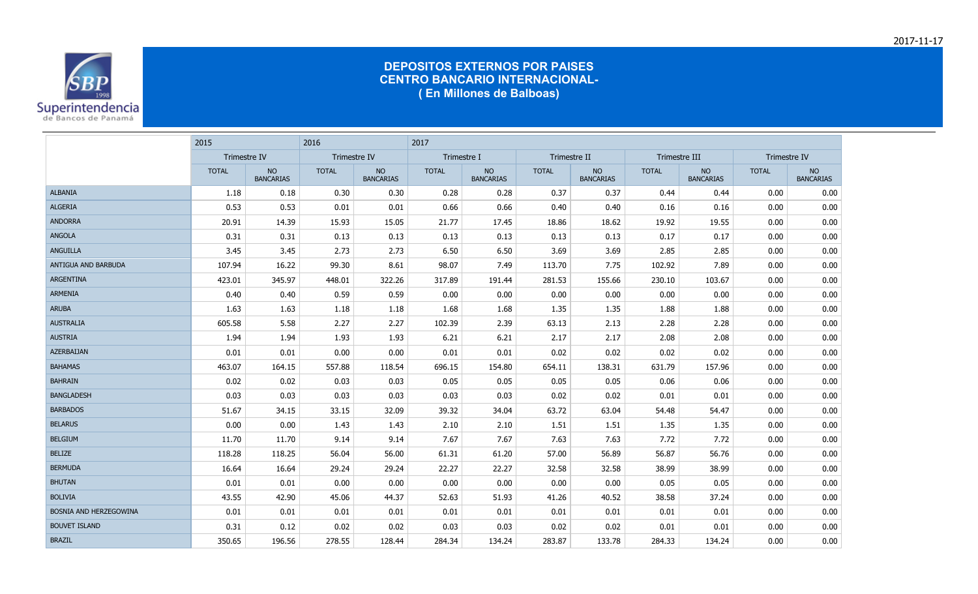

|                            | 2015                |                               | 2016                |                               | 2017         |                               |              |                               |               |                               |              |                               |
|----------------------------|---------------------|-------------------------------|---------------------|-------------------------------|--------------|-------------------------------|--------------|-------------------------------|---------------|-------------------------------|--------------|-------------------------------|
|                            | <b>Trimestre IV</b> |                               | <b>Trimestre IV</b> |                               | Trimestre I  |                               | Trimestre II |                               | Trimestre III |                               | Trimestre IV |                               |
|                            | <b>TOTAL</b>        | <b>NO</b><br><b>BANCARIAS</b> | <b>TOTAL</b>        | <b>NO</b><br><b>BANCARIAS</b> | <b>TOTAL</b> | <b>NO</b><br><b>BANCARIAS</b> | <b>TOTAL</b> | <b>NO</b><br><b>BANCARIAS</b> | <b>TOTAL</b>  | <b>NO</b><br><b>BANCARIAS</b> | <b>TOTAL</b> | <b>NO</b><br><b>BANCARIAS</b> |
| <b>ALBANIA</b>             | 1.18                | 0.18                          | 0.30                | 0.30                          | 0.28         | 0.28                          | 0.37         | 0.37                          | 0.44          | 0.44                          | 0.00         | 0.00                          |
| <b>ALGERIA</b>             | 0.53                | 0.53                          | 0.01                | 0.01                          | 0.66         | 0.66                          | 0.40         | 0.40                          | 0.16          | 0.16                          | 0.00         | 0.00                          |
| <b>ANDORRA</b>             | 20.91               | 14.39                         | 15.93               | 15.05                         | 21.77        | 17.45                         | 18.86        | 18.62                         | 19.92         | 19.55                         | 0.00         | 0.00                          |
| <b>ANGOLA</b>              | 0.31                | 0.31                          | 0.13                | 0.13                          | 0.13         | 0.13                          | 0.13         | 0.13                          | 0.17          | 0.17                          | 0.00         | 0.00                          |
| <b>ANGUILLA</b>            | 3.45                | 3.45                          | 2.73                | 2.73                          | 6.50         | 6.50                          | 3.69         | 3.69                          | 2.85          | 2.85                          | 0.00         | 0.00                          |
| <b>ANTIGUA AND BARBUDA</b> | 107.94              | 16.22                         | 99.30               | 8.61                          | 98.07        | 7.49                          | 113.70       | 7.75                          | 102.92        | 7.89                          | 0.00         | 0.00                          |
| <b>ARGENTINA</b>           | 423.01              | 345.97                        | 448.01              | 322.26                        | 317.89       | 191.44                        | 281.53       | 155.66                        | 230.10        | 103.67                        | 0.00         | 0.00                          |
| <b>ARMENIA</b>             | 0.40                | 0.40                          | 0.59                | 0.59                          | 0.00         | 0.00                          | 0.00         | 0.00                          | 0.00          | 0.00                          | 0.00         | 0.00                          |
| <b>ARUBA</b>               | 1.63                | 1.63                          | 1.18                | 1.18                          | 1.68         | 1.68                          | 1.35         | 1.35                          | 1.88          | 1.88                          | 0.00         | 0.00                          |
| <b>AUSTRALIA</b>           | 605.58              | 5.58                          | 2.27                | 2.27                          | 102.39       | 2.39                          | 63.13        | 2.13                          | 2.28          | 2.28                          | 0.00         | 0.00                          |
| <b>AUSTRIA</b>             | 1.94                | 1.94                          | 1.93                | 1.93                          | 6.21         | 6.21                          | 2.17         | 2.17                          | 2.08          | 2.08                          | 0.00         | 0.00                          |
| <b>AZERBAIJAN</b>          | 0.01                | 0.01                          | 0.00                | 0.00                          | 0.01         | 0.01                          | 0.02         | 0.02                          | 0.02          | 0.02                          | 0.00         | 0.00                          |
| <b>BAHAMAS</b>             | 463.07              | 164.15                        | 557.88              | 118.54                        | 696.15       | 154.80                        | 654.11       | 138.31                        | 631.79        | 157.96                        | 0.00         | 0.00                          |
| <b>BAHRAIN</b>             | 0.02                | 0.02                          | 0.03                | 0.03                          | 0.05         | 0.05                          | 0.05         | 0.05                          | 0.06          | 0.06                          | 0.00         | 0.00                          |
| <b>BANGLADESH</b>          | 0.03                | 0.03                          | 0.03                | 0.03                          | 0.03         | 0.03                          | 0.02         | 0.02                          | 0.01          | 0.01                          | 0.00         | 0.00                          |
| <b>BARBADOS</b>            | 51.67               | 34.15                         | 33.15               | 32.09                         | 39.32        | 34.04                         | 63.72        | 63.04                         | 54.48         | 54.47                         | 0.00         | 0.00                          |
| <b>BELARUS</b>             | 0.00                | 0.00                          | 1.43                | 1.43                          | 2.10         | 2.10                          | 1.51         | 1.51                          | 1.35          | 1.35                          | 0.00         | 0.00                          |
| <b>BELGIUM</b>             | 11.70               | 11.70                         | 9.14                | 9.14                          | 7.67         | 7.67                          | 7.63         | 7.63                          | 7.72          | 7.72                          | 0.00         | 0.00                          |
| <b>BELIZE</b>              | 118.28              | 118.25                        | 56.04               | 56.00                         | 61.31        | 61.20                         | 57.00        | 56.89                         | 56.87         | 56.76                         | 0.00         | 0.00                          |
| <b>BERMUDA</b>             | 16.64               | 16.64                         | 29.24               | 29.24                         | 22.27        | 22.27                         | 32.58        | 32.58                         | 38.99         | 38.99                         | 0.00         | 0.00                          |
| <b>BHUTAN</b>              | 0.01                | 0.01                          | 0.00                | 0.00                          | 0.00         | 0.00                          | 0.00         | 0.00                          | 0.05          | 0.05                          | 0.00         | 0.00                          |
| <b>BOLIVIA</b>             | 43.55               | 42.90                         | 45.06               | 44.37                         | 52.63        | 51.93                         | 41.26        | 40.52                         | 38.58         | 37.24                         | 0.00         | 0.00                          |
| BOSNIA AND HERZEGOWINA     | 0.01                | 0.01                          | 0.01                | 0.01                          | 0.01         | 0.01                          | 0.01         | 0.01                          | 0.01          | 0.01                          | 0.00         | 0.00                          |
| <b>BOUVET ISLAND</b>       | 0.31                | 0.12                          | 0.02                | 0.02                          | 0.03         | 0.03                          | 0.02         | 0.02                          | 0.01          | 0.01                          | 0.00         | 0.00                          |
| <b>BRAZIL</b>              | 350.65              | 196.56                        | 278.55              | 128.44                        | 284.34       | 134.24                        | 283.87       | 133.78                        | 284.33        | 134.24                        | 0.00         | 0.00                          |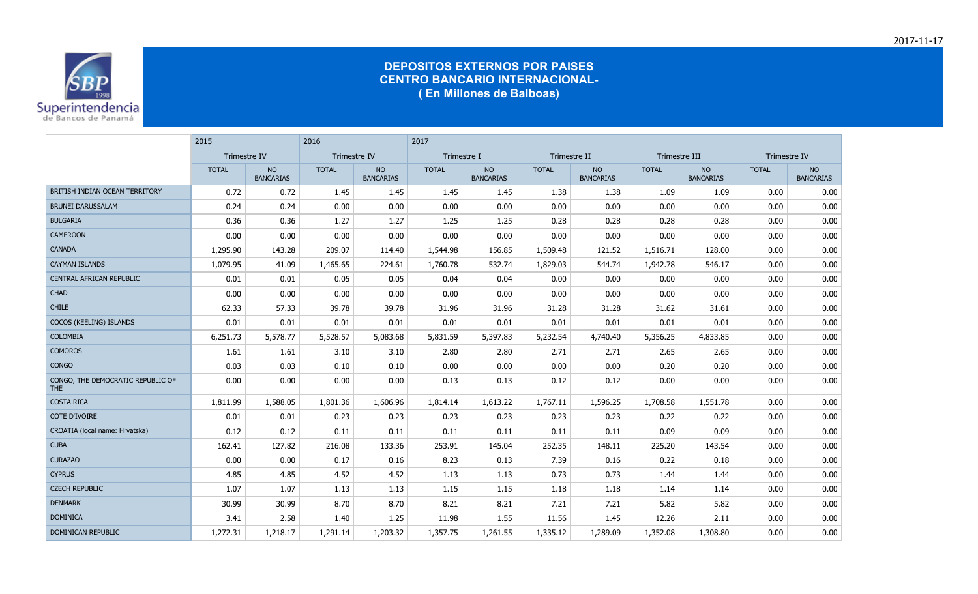

|                                                 | 2015         |                               | 2016         |                        | 2017         |                               |              |                        |               |                               |              |                               |
|-------------------------------------------------|--------------|-------------------------------|--------------|------------------------|--------------|-------------------------------|--------------|------------------------|---------------|-------------------------------|--------------|-------------------------------|
|                                                 | Trimestre IV |                               | Trimestre IV |                        | Trimestre I  |                               | Trimestre II |                        | Trimestre III |                               | Trimestre IV |                               |
|                                                 | <b>TOTAL</b> | <b>NO</b><br><b>BANCARIAS</b> | <b>TOTAL</b> | NO<br><b>BANCARIAS</b> | <b>TOTAL</b> | <b>NO</b><br><b>BANCARIAS</b> | <b>TOTAL</b> | NO<br><b>BANCARIAS</b> | <b>TOTAL</b>  | <b>NO</b><br><b>BANCARIAS</b> | <b>TOTAL</b> | <b>NO</b><br><b>BANCARIAS</b> |
| BRITISH INDIAN OCEAN TERRITORY                  | 0.72         | 0.72                          | 1.45         | 1.45                   | 1.45         | 1.45                          | 1.38         | 1.38                   | 1.09          | 1.09                          | 0.00         | 0.00                          |
| <b>BRUNEI DARUSSALAM</b>                        | 0.24         | 0.24                          | 0.00         | 0.00                   | 0.00         | 0.00                          | 0.00         | 0.00                   | 0.00          | 0.00                          | 0.00         | 0.00                          |
| <b>BULGARIA</b>                                 | 0.36         | 0.36                          | 1.27         | 1.27                   | 1.25         | 1.25                          | 0.28         | 0.28                   | 0.28          | 0.28                          | 0.00         | 0.00                          |
| <b>CAMEROON</b>                                 | 0.00         | 0.00                          | 0.00         | 0.00                   | 0.00         | 0.00                          | 0.00         | 0.00                   | 0.00          | 0.00                          | 0.00         | 0.00                          |
| <b>CANADA</b>                                   | 1,295.90     | 143.28                        | 209.07       | 114.40                 | 1,544.98     | 156.85                        | 1,509.48     | 121.52                 | 1,516.71      | 128.00                        | 0.00         | 0.00                          |
| <b>CAYMAN ISLANDS</b>                           | 1,079.95     | 41.09                         | 1,465.65     | 224.61                 | 1,760.78     | 532.74                        | 1,829.03     | 544.74                 | 1,942.78      | 546.17                        | 0.00         | 0.00                          |
| CENTRAL AFRICAN REPUBLIC                        | 0.01         | 0.01                          | 0.05         | 0.05                   | 0.04         | 0.04                          | 0.00         | 0.00                   | 0.00          | 0.00                          | 0.00         | 0.00                          |
| <b>CHAD</b>                                     | 0.00         | 0.00                          | 0.00         | 0.00                   | 0.00         | 0.00                          | 0.00         | 0.00                   | 0.00          | 0.00                          | 0.00         | 0.00                          |
| <b>CHILE</b>                                    | 62.33        | 57.33                         | 39.78        | 39.78                  | 31.96        | 31.96                         | 31.28        | 31.28                  | 31.62         | 31.61                         | 0.00         | 0.00                          |
| COCOS (KEELING) ISLANDS                         | 0.01         | 0.01                          | 0.01         | 0.01                   | 0.01         | 0.01                          | 0.01         | 0.01                   | 0.01          | 0.01                          | 0.00         | 0.00                          |
| <b>COLOMBIA</b>                                 | 6,251.73     | 5,578.77                      | 5,528.57     | 5,083.68               | 5,831.59     | 5,397.83                      | 5,232.54     | 4,740.40               | 5,356.25      | 4,833.85                      | 0.00         | 0.00                          |
| <b>COMOROS</b>                                  | 1.61         | 1.61                          | 3.10         | 3.10                   | 2.80         | 2.80                          | 2.71         | 2.71                   | 2.65          | 2.65                          | 0.00         | 0.00                          |
| <b>CONGO</b>                                    | 0.03         | 0.03                          | 0.10         | 0.10                   | 0.00         | 0.00                          | 0.00         | 0.00                   | 0.20          | 0.20                          | 0.00         | 0.00                          |
| CONGO, THE DEMOCRATIC REPUBLIC OF<br><b>THE</b> | 0.00         | 0.00                          | 0.00         | 0.00                   | 0.13         | 0.13                          | 0.12         | 0.12                   | 0.00          | 0.00                          | 0.00         | 0.00                          |
| <b>COSTA RICA</b>                               | 1,811.99     | 1,588.05                      | 1,801.36     | 1,606.96               | 1,814.14     | 1,613.22                      | 1,767.11     | 1,596.25               | 1,708.58      | 1,551.78                      | 0.00         | 0.00                          |
| <b>COTE D'IVOIRE</b>                            | 0.01         | 0.01                          | 0.23         | 0.23                   | 0.23         | 0.23                          | 0.23         | 0.23                   | 0.22          | 0.22                          | 0.00         | 0.00                          |
| CROATIA (local name: Hrvatska)                  | 0.12         | 0.12                          | 0.11         | 0.11                   | 0.11         | 0.11                          | 0.11         | 0.11                   | 0.09          | 0.09                          | 0.00         | 0.00                          |
| <b>CUBA</b>                                     | 162.41       | 127.82                        | 216.08       | 133.36                 | 253.91       | 145.04                        | 252.35       | 148.11                 | 225.20        | 143.54                        | 0.00         | 0.00                          |
| <b>CURAZAO</b>                                  | 0.00         | 0.00                          | 0.17         | 0.16                   | 8.23         | 0.13                          | 7.39         | 0.16                   | 0.22          | 0.18                          | 0.00         | 0.00                          |
| <b>CYPRUS</b>                                   | 4.85         | 4.85                          | 4.52         | 4.52                   | 1.13         | 1.13                          | 0.73         | 0.73                   | 1.44          | 1.44                          | 0.00         | 0.00                          |
| <b>CZECH REPUBLIC</b>                           | 1.07         | 1.07                          | 1.13         | 1.13                   | 1.15         | 1.15                          | 1.18         | 1.18                   | 1.14          | 1.14                          | 0.00         | 0.00                          |
| <b>DENMARK</b>                                  | 30.99        | 30.99                         | 8.70         | 8.70                   | 8.21         | 8.21                          | 7.21         | 7.21                   | 5.82          | 5.82                          | 0.00         | 0.00                          |
| <b>DOMINICA</b>                                 | 3.41         | 2.58                          | 1.40         | 1.25                   | 11.98        | 1.55                          | 11.56        | 1.45                   | 12.26         | 2.11                          | 0.00         | 0.00                          |
| DOMINICAN REPUBLIC                              | 1,272.31     | 1,218.17                      | 1,291.14     | 1,203.32               | 1,357.75     | 1,261.55                      | 1,335.12     | 1,289.09               | 1,352.08      | 1,308.80                      | 0.00         | 0.00                          |

2017-11-17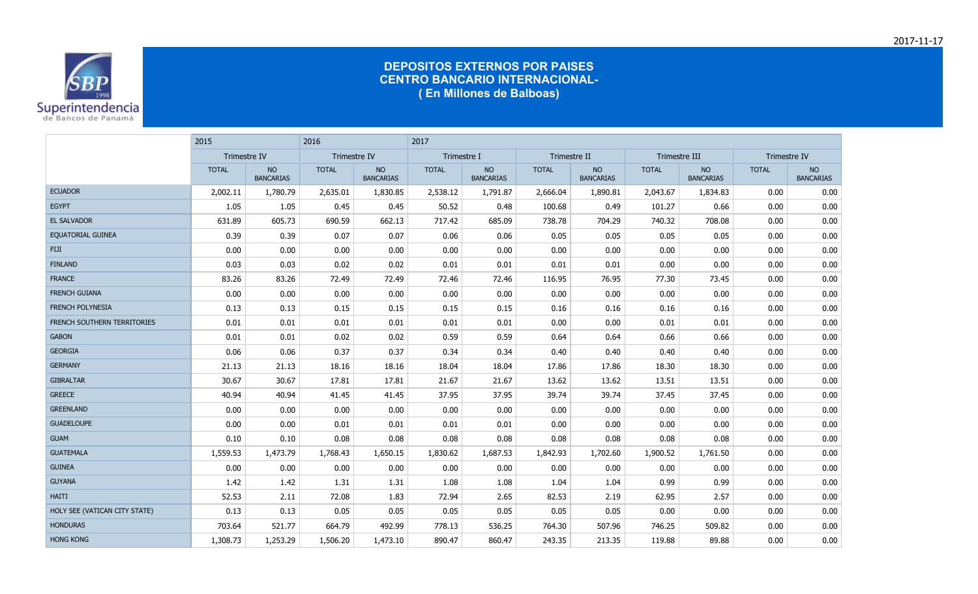

|                               | 2015         |                               | 2016         |                               | 2017         |                               |              |                        |               |                               |              |                               |
|-------------------------------|--------------|-------------------------------|--------------|-------------------------------|--------------|-------------------------------|--------------|------------------------|---------------|-------------------------------|--------------|-------------------------------|
|                               | Trimestre IV |                               | Trimestre IV |                               | Trimestre I  |                               | Trimestre II |                        | Trimestre III |                               | Trimestre IV |                               |
|                               | <b>TOTAL</b> | <b>NO</b><br><b>BANCARIAS</b> | <b>TOTAL</b> | <b>NO</b><br><b>BANCARIAS</b> | <b>TOTAL</b> | <b>NO</b><br><b>BANCARIAS</b> | <b>TOTAL</b> | NO<br><b>BANCARIAS</b> | <b>TOTAL</b>  | <b>NO</b><br><b>BANCARIAS</b> | <b>TOTAL</b> | <b>NO</b><br><b>BANCARIAS</b> |
| <b>ECUADOR</b>                | 2,002.11     | 1,780.79                      | 2,635.01     | 1,830.85                      | 2,538.12     | 1,791.87                      | 2,666.04     | 1,890.81               | 2,043.67      | 1,834.83                      | 0.00         | 0.00                          |
| <b>EGYPT</b>                  | 1.05         | 1.05                          | 0.45         | 0.45                          | 50.52        | 0.48                          | 100.68       | 0.49                   | 101.27        | 0.66                          | 0.00         | 0.00                          |
| <b>EL SALVADOR</b>            | 631.89       | 605.73                        | 690.59       | 662.13                        | 717.42       | 685.09                        | 738.78       | 704.29                 | 740.32        | 708.08                        | 0.00         | 0.00                          |
| <b>EQUATORIAL GUINEA</b>      | 0.39         | 0.39                          | 0.07         | 0.07                          | 0.06         | 0.06                          | 0.05         | 0.05                   | 0.05          | 0.05                          | 0.00         | 0.00                          |
| <b>FIJI</b>                   | 0.00         | 0.00                          | 0.00         | 0.00                          | 0.00         | 0.00                          | 0.00         | 0.00                   | 0.00          | 0.00                          | 0.00         | 0.00                          |
| <b>FINLAND</b>                | 0.03         | 0.03                          | 0.02         | 0.02                          | 0.01         | 0.01                          | 0.01         | 0.01                   | 0.00          | 0.00                          | 0.00         | 0.00                          |
| <b>FRANCE</b>                 | 83.26        | 83.26                         | 72.49        | 72.49                         | 72.46        | 72.46                         | 116.95       | 76.95                  | 77.30         | 73.45                         | 0.00         | 0.00                          |
| <b>FRENCH GUIANA</b>          | 0.00         | 0.00                          | 0.00         | 0.00                          | 0.00         | 0.00                          | 0.00         | 0.00                   | 0.00          | 0.00                          | 0.00         | 0.00                          |
| <b>FRENCH POLYNESIA</b>       | 0.13         | 0.13                          | 0.15         | 0.15                          | 0.15         | 0.15                          | 0.16         | 0.16                   | 0.16          | 0.16                          | 0.00         | 0.00                          |
| FRENCH SOUTHERN TERRITORIES   | 0.01         | 0.01                          | 0.01         | 0.01                          | 0.01         | 0.01                          | 0.00         | 0.00                   | 0.01          | 0.01                          | 0.00         | 0.00                          |
| <b>GABON</b>                  | 0.01         | 0.01                          | 0.02         | 0.02                          | 0.59         | 0.59                          | 0.64         | 0.64                   | 0.66          | 0.66                          | 0.00         | 0.00                          |
| <b>GEORGIA</b>                | 0.06         | 0.06                          | 0.37         | 0.37                          | 0.34         | 0.34                          | 0.40         | 0.40                   | 0.40          | 0.40                          | 0.00         | 0.00                          |
| <b>GERMANY</b>                | 21.13        | 21.13                         | 18.16        | 18.16                         | 18.04        | 18.04                         | 17.86        | 17.86                  | 18.30         | 18.30                         | 0.00         | 0.00                          |
| <b>GIBRALTAR</b>              | 30.67        | 30.67                         | 17.81        | 17.81                         | 21.67        | 21.67                         | 13.62        | 13.62                  | 13.51         | 13.51                         | 0.00         | 0.00                          |
| <b>GREECE</b>                 | 40.94        | 40.94                         | 41.45        | 41.45                         | 37.95        | 37.95                         | 39.74        | 39.74                  | 37.45         | 37.45                         | 0.00         | 0.00                          |
| <b>GREENLAND</b>              | 0.00         | 0.00                          | 0.00         | 0.00                          | 0.00         | 0.00                          | 0.00         | 0.00                   | 0.00          | 0.00                          | 0.00         | 0.00                          |
| <b>GUADELOUPE</b>             | 0.00         | 0.00                          | 0.01         | 0.01                          | 0.01         | 0.01                          | 0.00         | 0.00                   | 0.00          | 0.00                          | 0.00         | 0.00                          |
| <b>GUAM</b>                   | 0.10         | 0.10                          | 0.08         | 0.08                          | 0.08         | 0.08                          | 0.08         | 0.08                   | 0.08          | 0.08                          | 0.00         | 0.00                          |
| <b>GUATEMALA</b>              | 1,559.53     | 1,473.79                      | 1,768.43     | 1,650.15                      | 1,830.62     | 1,687.53                      | 1,842.93     | 1,702.60               | 1,900.52      | 1,761.50                      | 0.00         | 0.00                          |
| <b>GUINEA</b>                 | 0.00         | 0.00                          | 0.00         | 0.00                          | 0.00         | 0.00                          | 0.00         | 0.00                   | 0.00          | 0.00                          | 0.00         | 0.00                          |
| <b>GUYANA</b>                 | 1.42         | 1.42                          | 1.31         | 1.31                          | 1.08         | 1.08                          | 1.04         | 1.04                   | 0.99          | 0.99                          | 0.00         | 0.00                          |
| <b>HAITI</b>                  | 52.53        | 2.11                          | 72.08        | 1.83                          | 72.94        | 2.65                          | 82.53        | 2.19                   | 62.95         | 2.57                          | 0.00         | 0.00                          |
| HOLY SEE (VATICAN CITY STATE) | 0.13         | 0.13                          | 0.05         | 0.05                          | 0.05         | 0.05                          | 0.05         | 0.05                   | 0.00          | 0.00                          | 0.00         | 0.00                          |
| <b>HONDURAS</b>               | 703.64       | 521.77                        | 664.79       | 492.99                        | 778.13       | 536.25                        | 764.30       | 507.96                 | 746.25        | 509.82                        | 0.00         | 0.00                          |
| <b>HONG KONG</b>              | 1,308.73     | 1,253.29                      | 1,506.20     | 1,473.10                      | 890.47       | 860.47                        | 243.35       | 213.35                 | 119.88        | 89.88                         | 0.00         | 0.00                          |

2017-11-17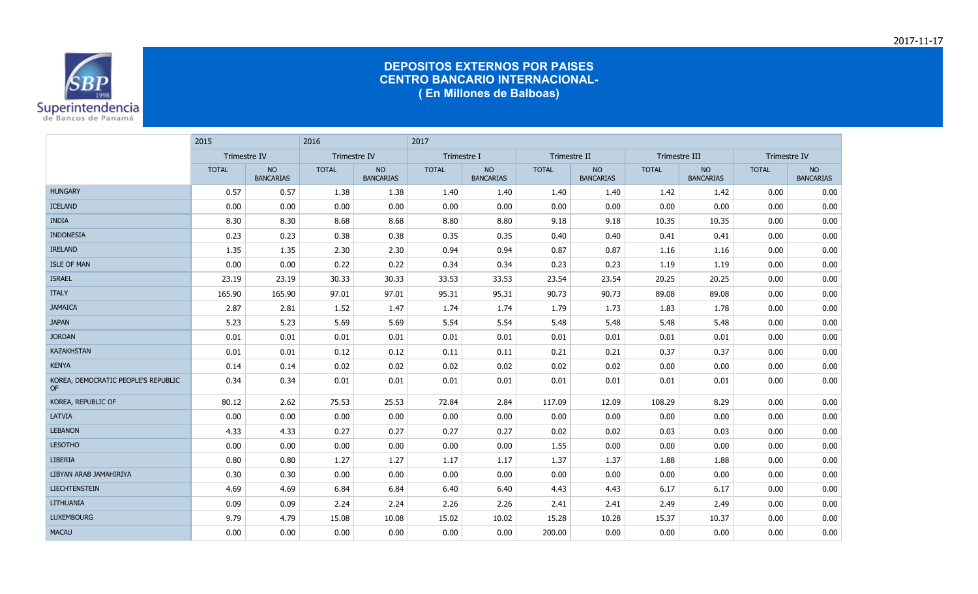

|                                           | 2015         |                        | 2016         |                        | 2017         |                        |              |                               |               |                               |              |                        |
|-------------------------------------------|--------------|------------------------|--------------|------------------------|--------------|------------------------|--------------|-------------------------------|---------------|-------------------------------|--------------|------------------------|
|                                           | Trimestre IV |                        | Trimestre IV |                        | Trimestre I  |                        | Trimestre II |                               | Trimestre III |                               | Trimestre IV |                        |
|                                           | <b>TOTAL</b> | NO<br><b>BANCARIAS</b> | <b>TOTAL</b> | NO<br><b>BANCARIAS</b> | <b>TOTAL</b> | NO<br><b>BANCARIAS</b> | <b>TOTAL</b> | <b>NO</b><br><b>BANCARIAS</b> | <b>TOTAL</b>  | <b>NO</b><br><b>BANCARIAS</b> | <b>TOTAL</b> | NO<br><b>BANCARIAS</b> |
| <b>HUNGARY</b>                            | 0.57         | 0.57                   | 1.38         | 1.38                   | 1.40         | 1.40                   | 1.40         | 1.40                          | 1.42          | 1.42                          | 0.00         | 0.00                   |
| <b>ICELAND</b>                            | 0.00         | 0.00                   | 0.00         | 0.00                   | 0.00         | 0.00                   | 0.00         | 0.00                          | 0.00          | 0.00                          | 0.00         | 0.00                   |
| <b>INDIA</b>                              | 8.30         | 8.30                   | 8.68         | 8.68                   | 8.80         | 8.80                   | 9.18         | 9.18                          | 10.35         | 10.35                         | 0.00         | 0.00                   |
| <b>INDONESIA</b>                          | 0.23         | 0.23                   | 0.38         | 0.38                   | 0.35         | 0.35                   | 0.40         | 0.40                          | 0.41          | 0.41                          | 0.00         | 0.00                   |
| <b>IRELAND</b>                            | 1.35         | 1.35                   | 2.30         | 2.30                   | 0.94         | 0.94                   | 0.87         | 0.87                          | 1.16          | 1.16                          | 0.00         | 0.00                   |
| <b>ISLE OF MAN</b>                        | 0.00         | 0.00                   | 0.22         | 0.22                   | 0.34         | 0.34                   | 0.23         | 0.23                          | 1.19          | 1.19                          | 0.00         | 0.00                   |
| <b>ISRAEL</b>                             | 23.19        | 23.19                  | 30.33        | 30.33                  | 33.53        | 33.53                  | 23.54        | 23.54                         | 20.25         | 20.25                         | 0.00         | 0.00                   |
| <b>ITALY</b>                              | 165.90       | 165.90                 | 97.01        | 97.01                  | 95.31        | 95.31                  | 90.73        | 90.73                         | 89.08         | 89.08                         | 0.00         | 0.00                   |
| <b>JAMAICA</b>                            | 2.87         | 2.81                   | 1.52         | 1.47                   | 1.74         | 1.74                   | 1.79         | 1.73                          | 1.83          | 1.78                          | 0.00         | 0.00                   |
| <b>JAPAN</b>                              | 5.23         | 5.23                   | 5.69         | 5.69                   | 5.54         | 5.54                   | 5.48         | 5.48                          | 5.48          | 5.48                          | 0.00         | 0.00                   |
| <b>JORDAN</b>                             | 0.01         | 0.01                   | 0.01         | 0.01                   | 0.01         | 0.01                   | 0.01         | 0.01                          | 0.01          | 0.01                          | 0.00         | 0.00                   |
| <b>KAZAKHSTAN</b>                         | 0.01         | 0.01                   | 0.12         | 0.12                   | 0.11         | 0.11                   | 0.21         | 0.21                          | 0.37          | 0.37                          | 0.00         | 0.00                   |
| <b>KENYA</b>                              | 0.14         | 0.14                   | 0.02         | 0.02                   | 0.02         | 0.02                   | 0.02         | 0.02                          | 0.00          | 0.00                          | 0.00         | 0.00                   |
| KOREA, DEMOCRATIC PEOPLE'S REPUBLIC<br>OF | 0.34         | 0.34                   | 0.01         | 0.01                   | 0.01         | 0.01                   | 0.01         | 0.01                          | 0.01          | 0.01                          | 0.00         | 0.00                   |
| KOREA, REPUBLIC OF                        | 80.12        | 2.62                   | 75.53        | 25.53                  | 72.84        | 2.84                   | 117.09       | 12.09                         | 108.29        | 8.29                          | 0.00         | 0.00                   |
| <b>LATVIA</b>                             | 0.00         | 0.00                   | 0.00         | 0.00                   | 0.00         | 0.00                   | 0.00         | 0.00                          | 0.00          | 0.00                          | 0.00         | 0.00                   |
| <b>LEBANON</b>                            | 4.33         | 4.33                   | 0.27         | 0.27                   | 0.27         | 0.27                   | 0.02         | 0.02                          | 0.03          | 0.03                          | 0.00         | 0.00                   |
| <b>LESOTHO</b>                            | 0.00         | 0.00                   | 0.00         | 0.00                   | 0.00         | 0.00                   | 1.55         | 0.00                          | 0.00          | 0.00                          | 0.00         | 0.00                   |
| <b>LIBERIA</b>                            | 0.80         | 0.80                   | 1.27         | 1.27                   | 1.17         | 1.17                   | 1.37         | 1.37                          | 1.88          | 1.88                          | 0.00         | 0.00                   |
| LIBYAN ARAB JAMAHIRIYA                    | 0.30         | 0.30                   | 0.00         | 0.00                   | 0.00         | 0.00                   | 0.00         | 0.00                          | 0.00          | 0.00                          | 0.00         | 0.00                   |
| <b>LIECHTENSTEIN</b>                      | 4.69         | 4.69                   | 6.84         | 6.84                   | 6.40         | 6.40                   | 4.43         | 4.43                          | 6.17          | 6.17                          | 0.00         | 0.00                   |
| LITHUANIA                                 | 0.09         | 0.09                   | 2.24         | 2.24                   | 2.26         | 2.26                   | 2.41         | 2.41                          | 2.49          | 2.49                          | 0.00         | 0.00                   |
| <b>LUXEMBOURG</b>                         | 9.79         | 4.79                   | 15.08        | 10.08                  | 15.02        | 10.02                  | 15.28        | 10.28                         | 15.37         | 10.37                         | 0.00         | 0.00                   |
| <b>MACAU</b>                              | 0.00         | 0.00                   | 0.00         | 0.00                   | 0.00         | 0.00                   | 200.00       | 0.00                          | 0.00          | 0.00                          | 0.00         | 0.00                   |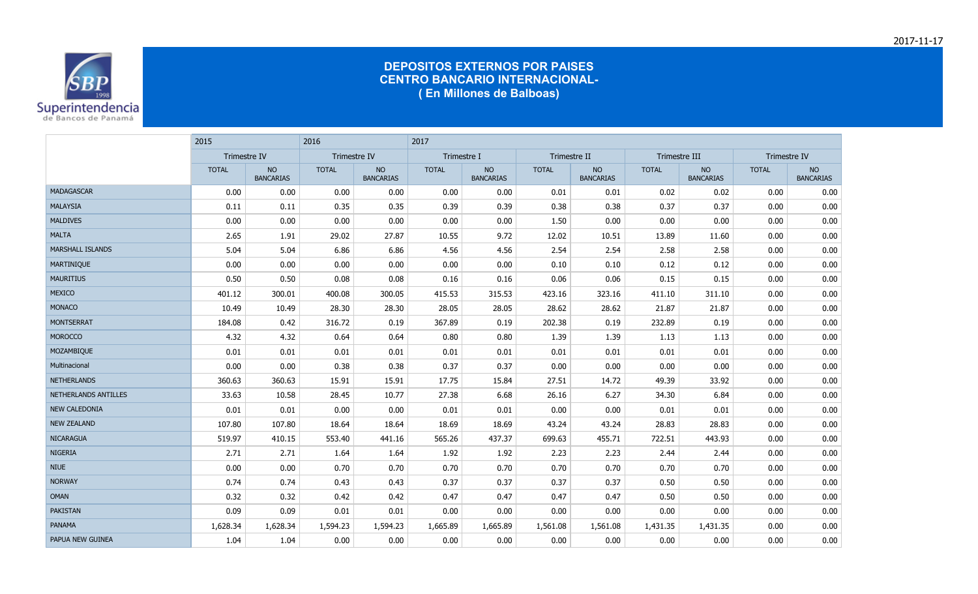

|                         | 2015         |                               | 2016         |                               | 2017         |                               |              |                               |               |                               |              |                               |  |
|-------------------------|--------------|-------------------------------|--------------|-------------------------------|--------------|-------------------------------|--------------|-------------------------------|---------------|-------------------------------|--------------|-------------------------------|--|
|                         | Trimestre IV |                               | Trimestre IV |                               | Trimestre I  |                               | Trimestre II |                               | Trimestre III |                               | Trimestre IV |                               |  |
|                         | <b>TOTAL</b> | <b>NO</b><br><b>BANCARIAS</b> | <b>TOTAL</b> | <b>NO</b><br><b>BANCARIAS</b> | <b>TOTAL</b> | <b>NO</b><br><b>BANCARIAS</b> | <b>TOTAL</b> | <b>NO</b><br><b>BANCARIAS</b> | <b>TOTAL</b>  | <b>NO</b><br><b>BANCARIAS</b> | <b>TOTAL</b> | <b>NO</b><br><b>BANCARIAS</b> |  |
| <b>MADAGASCAR</b>       | 0.00         | 0.00                          | 0.00         | 0.00                          | 0.00         | 0.00                          | 0.01         | 0.01                          | 0.02          | 0.02                          | 0.00         | 0.00                          |  |
| <b>MALAYSIA</b>         | 0.11         | 0.11                          | 0.35         | 0.35                          | 0.39         | 0.39                          | 0.38         | 0.38                          | 0.37          | 0.37                          | 0.00         | 0.00                          |  |
| <b>MALDIVES</b>         | 0.00         | 0.00                          | 0.00         | 0.00                          | 0.00         | 0.00                          | 1.50         | 0.00                          | 0.00          | 0.00                          | 0.00         | 0.00                          |  |
| <b>MALTA</b>            | 2.65         | 1.91                          | 29.02        | 27.87                         | 10.55        | 9.72                          | 12.02        | 10.51                         | 13.89         | 11.60                         | 0.00         | 0.00                          |  |
| <b>MARSHALL ISLANDS</b> | 5.04         | 5.04                          | 6.86         | 6.86                          | 4.56         | 4.56                          | 2.54         | 2.54                          | 2.58          | 2.58                          | 0.00         | 0.00                          |  |
| <b>MARTINIQUE</b>       | 0.00         | 0.00                          | 0.00         | 0.00                          | 0.00         | 0.00                          | 0.10         | 0.10                          | 0.12          | 0.12                          | 0.00         | 0.00                          |  |
| <b>MAURITIUS</b>        | 0.50         | 0.50                          | 0.08         | 0.08                          | 0.16         | 0.16                          | 0.06         | 0.06                          | 0.15          | 0.15                          | 0.00         | 0.00                          |  |
| <b>MEXICO</b>           | 401.12       | 300.01                        | 400.08       | 300.05                        | 415.53       | 315.53                        | 423.16       | 323.16                        | 411.10        | 311.10                        | 0.00         | 0.00                          |  |
| <b>MONACO</b>           | 10.49        | 10.49                         | 28.30        | 28.30                         | 28.05        | 28.05                         | 28.62        | 28.62                         | 21.87         | 21.87                         | 0.00         | 0.00                          |  |
| <b>MONTSERRAT</b>       | 184.08       | 0.42                          | 316.72       | 0.19                          | 367.89       | 0.19                          | 202.38       | 0.19                          | 232.89        | 0.19                          | 0.00         | 0.00                          |  |
| <b>MOROCCO</b>          | 4.32         | 4.32                          | 0.64         | 0.64                          | 0.80         | 0.80                          | 1.39         | 1.39                          | 1.13          | 1.13                          | 0.00         | 0.00                          |  |
| <b>MOZAMBIQUE</b>       | 0.01         | 0.01                          | 0.01         | 0.01                          | 0.01         | 0.01                          | 0.01         | 0.01                          | 0.01          | 0.01                          | 0.00         | 0.00                          |  |
| Multinacional           | 0.00         | 0.00                          | 0.38         | 0.38                          | 0.37         | 0.37                          | 0.00         | 0.00                          | 0.00          | 0.00                          | 0.00         | 0.00                          |  |
| <b>NETHERLANDS</b>      | 360.63       | 360.63                        | 15.91        | 15.91                         | 17.75        | 15.84                         | 27.51        | 14.72                         | 49.39         | 33.92                         | 0.00         | 0.00                          |  |
| NETHERLANDS ANTILLES    | 33.63        | 10.58                         | 28.45        | 10.77                         | 27.38        | 6.68                          | 26.16        | 6.27                          | 34.30         | 6.84                          | 0.00         | 0.00                          |  |
| <b>NEW CALEDONIA</b>    | 0.01         | 0.01                          | 0.00         | 0.00                          | 0.01         | 0.01                          | 0.00         | 0.00                          | 0.01          | 0.01                          | 0.00         | 0.00                          |  |
| <b>NEW ZEALAND</b>      | 107.80       | 107.80                        | 18.64        | 18.64                         | 18.69        | 18.69                         | 43.24        | 43.24                         | 28.83         | 28.83                         | 0.00         | 0.00                          |  |
| <b>NICARAGUA</b>        | 519.97       | 410.15                        | 553.40       | 441.16                        | 565.26       | 437.37                        | 699.63       | 455.71                        | 722.51        | 443.93                        | 0.00         | 0.00                          |  |
| NIGERIA                 | 2.71         | 2.71                          | 1.64         | 1.64                          | 1.92         | 1.92                          | 2.23         | 2.23                          | 2.44          | 2.44                          | 0.00         | 0.00                          |  |
| <b>NIUE</b>             | 0.00         | 0.00                          | 0.70         | 0.70                          | 0.70         | 0.70                          | 0.70         | 0.70                          | 0.70          | 0.70                          | 0.00         | 0.00                          |  |
| <b>NORWAY</b>           | 0.74         | 0.74                          | 0.43         | 0.43                          | 0.37         | 0.37                          | 0.37         | 0.37                          | 0.50          | 0.50                          | 0.00         | 0.00                          |  |
| <b>OMAN</b>             | 0.32         | 0.32                          | 0.42         | 0.42                          | 0.47         | 0.47                          | 0.47         | 0.47                          | 0.50          | 0.50                          | 0.00         | 0.00                          |  |
| <b>PAKISTAN</b>         | 0.09         | 0.09                          | 0.01         | 0.01                          | 0.00         | 0.00                          | 0.00         | 0.00                          | 0.00          | 0.00                          | 0.00         | 0.00                          |  |
| <b>PANAMA</b>           | 1,628.34     | 1,628.34                      | 1,594.23     | 1,594.23                      | 1,665.89     | 1,665.89                      | 1,561.08     | 1,561.08                      | 1,431.35      | 1,431.35                      | 0.00         | 0.00                          |  |
| PAPUA NEW GUINEA        | 1.04         | 1.04                          | 0.00         | 0.00                          | 0.00         | 0.00                          | 0.00         | 0.00                          | 0.00          | 0.00                          | 0.00         | 0.00                          |  |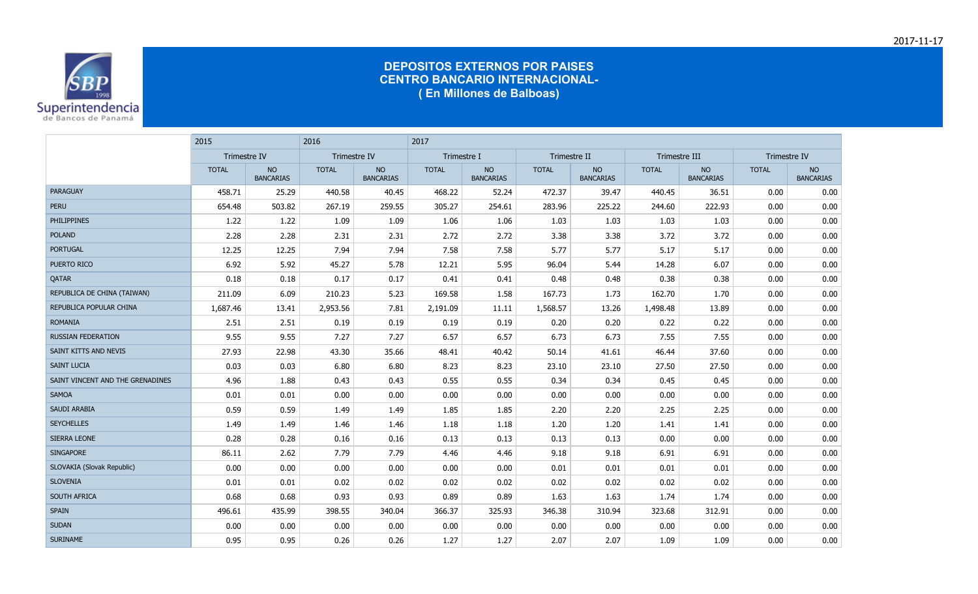

|                                  | 2015         |                               | 2016                |                               | 2017         |                               |              |                               |               |                               |              |                               |
|----------------------------------|--------------|-------------------------------|---------------------|-------------------------------|--------------|-------------------------------|--------------|-------------------------------|---------------|-------------------------------|--------------|-------------------------------|
|                                  | Trimestre IV |                               | <b>Trimestre IV</b> |                               | Trimestre I  |                               | Trimestre II |                               | Trimestre III |                               | Trimestre IV |                               |
|                                  | <b>TOTAL</b> | <b>NO</b><br><b>BANCARIAS</b> | <b>TOTAL</b>        | <b>NO</b><br><b>BANCARIAS</b> | <b>TOTAL</b> | <b>NO</b><br><b>BANCARIAS</b> | <b>TOTAL</b> | <b>NO</b><br><b>BANCARIAS</b> | <b>TOTAL</b>  | <b>NO</b><br><b>BANCARIAS</b> | <b>TOTAL</b> | <b>NO</b><br><b>BANCARIAS</b> |
| <b>PARAGUAY</b>                  | 458.71       | 25.29                         | 440.58              | 40.45                         | 468.22       | 52.24                         | 472.37       | 39.47                         | 440.45        | 36.51                         | 0.00         | 0.00                          |
| <b>PERU</b>                      | 654.48       | 503.82                        | 267.19              | 259.55                        | 305.27       | 254.61                        | 283.96       | 225.22                        | 244.60        | 222.93                        | 0.00         | 0.00                          |
| <b>PHILIPPINES</b>               | 1.22         | 1.22                          | 1.09                | 1.09                          | 1.06         | 1.06                          | 1.03         | 1.03                          | 1.03          | 1.03                          | 0.00         | 0.00                          |
| <b>POLAND</b>                    | 2.28         | 2.28                          | 2.31                | 2.31                          | 2.72         | 2.72                          | 3.38         | 3.38                          | 3.72          | 3.72                          | 0.00         | 0.00                          |
| <b>PORTUGAL</b>                  | 12.25        | 12.25                         | 7.94                | 7.94                          | 7.58         | 7.58                          | 5.77         | 5.77                          | 5.17          | 5.17                          | 0.00         | 0.00                          |
| PUERTO RICO                      | 6.92         | 5.92                          | 45.27               | 5.78                          | 12.21        | 5.95                          | 96.04        | 5.44                          | 14.28         | 6.07                          | 0.00         | 0.00                          |
| QATAR                            | 0.18         | 0.18                          | 0.17                | 0.17                          | 0.41         | 0.41                          | 0.48         | 0.48                          | 0.38          | 0.38                          | 0.00         | 0.00                          |
| REPUBLICA DE CHINA (TAIWAN)      | 211.09       | 6.09                          | 210.23              | 5.23                          | 169.58       | 1.58                          | 167.73       | 1.73                          | 162.70        | 1.70                          | 0.00         | 0.00                          |
| REPUBLICA POPULAR CHINA          | 1,687.46     | 13.41                         | 2,953.56            | 7.81                          | 2,191.09     | 11.11                         | 1,568.57     | 13.26                         | 1,498.48      | 13.89                         | 0.00         | 0.00                          |
| <b>ROMANIA</b>                   | 2.51         | 2.51                          | 0.19                | 0.19                          | 0.19         | 0.19                          | 0.20         | 0.20                          | 0.22          | 0.22                          | 0.00         | 0.00                          |
| <b>RUSSIAN FEDERATION</b>        | 9.55         | 9.55                          | 7.27                | 7.27                          | 6.57         | 6.57                          | 6.73         | 6.73                          | 7.55          | 7.55                          | 0.00         | 0.00                          |
| SAINT KITTS AND NEVIS            | 27.93        | 22.98                         | 43.30               | 35.66                         | 48.41        | 40.42                         | 50.14        | 41.61                         | 46.44         | 37.60                         | 0.00         | 0.00                          |
| <b>SAINT LUCIA</b>               | 0.03         | 0.03                          | 6.80                | 6.80                          | 8.23         | 8.23                          | 23.10        | 23.10                         | 27.50         | 27.50                         | 0.00         | 0.00                          |
| SAINT VINCENT AND THE GRENADINES | 4.96         | 1.88                          | 0.43                | 0.43                          | 0.55         | 0.55                          | 0.34         | 0.34                          | 0.45          | 0.45                          | 0.00         | 0.00                          |
| <b>SAMOA</b>                     | 0.01         | 0.01                          | 0.00                | 0.00                          | 0.00         | 0.00                          | 0.00         | 0.00                          | 0.00          | 0.00                          | 0.00         | 0.00                          |
| <b>SAUDI ARABIA</b>              | 0.59         | 0.59                          | 1.49                | 1.49                          | 1.85         | 1.85                          | 2.20         | 2.20                          | 2.25          | 2.25                          | 0.00         | 0.00                          |
| <b>SEYCHELLES</b>                | 1.49         | 1.49                          | 1.46                | 1.46                          | 1.18         | 1.18                          | 1.20         | 1.20                          | 1.41          | 1.41                          | 0.00         | 0.00                          |
| <b>SIERRA LEONE</b>              | 0.28         | 0.28                          | 0.16                | 0.16                          | 0.13         | 0.13                          | 0.13         | 0.13                          | 0.00          | 0.00                          | 0.00         | 0.00                          |
| <b>SINGAPORE</b>                 | 86.11        | 2.62                          | 7.79                | 7.79                          | 4.46         | 4.46                          | 9.18         | 9.18                          | 6.91          | 6.91                          | 0.00         | 0.00                          |
| SLOVAKIA (Slovak Republic)       | 0.00         | 0.00                          | 0.00                | 0.00                          | 0.00         | 0.00                          | 0.01         | 0.01                          | 0.01          | 0.01                          | 0.00         | 0.00                          |
| <b>SLOVENIA</b>                  | 0.01         | 0.01                          | 0.02                | 0.02                          | 0.02         | 0.02                          | 0.02         | 0.02                          | 0.02          | 0.02                          | 0.00         | 0.00                          |
| SOUTH AFRICA                     | 0.68         | 0.68                          | 0.93                | 0.93                          | 0.89         | 0.89                          | 1.63         | 1.63                          | 1.74          | 1.74                          | 0.00         | 0.00                          |
| <b>SPAIN</b>                     | 496.61       | 435.99                        | 398.55              | 340.04                        | 366.37       | 325.93                        | 346.38       | 310.94                        | 323.68        | 312.91                        | 0.00         | 0.00                          |
| <b>SUDAN</b>                     | 0.00         | 0.00                          | 0.00                | 0.00                          | 0.00         | 0.00                          | 0.00         | 0.00                          | 0.00          | 0.00                          | 0.00         | 0.00                          |
| <b>SURINAME</b>                  | 0.95         | 0.95                          | 0.26                | 0.26                          | 1.27         | 1.27                          | 2.07         | 2.07                          | 1.09          | 1.09                          | 0.00         | 0.00                          |

2017-11-17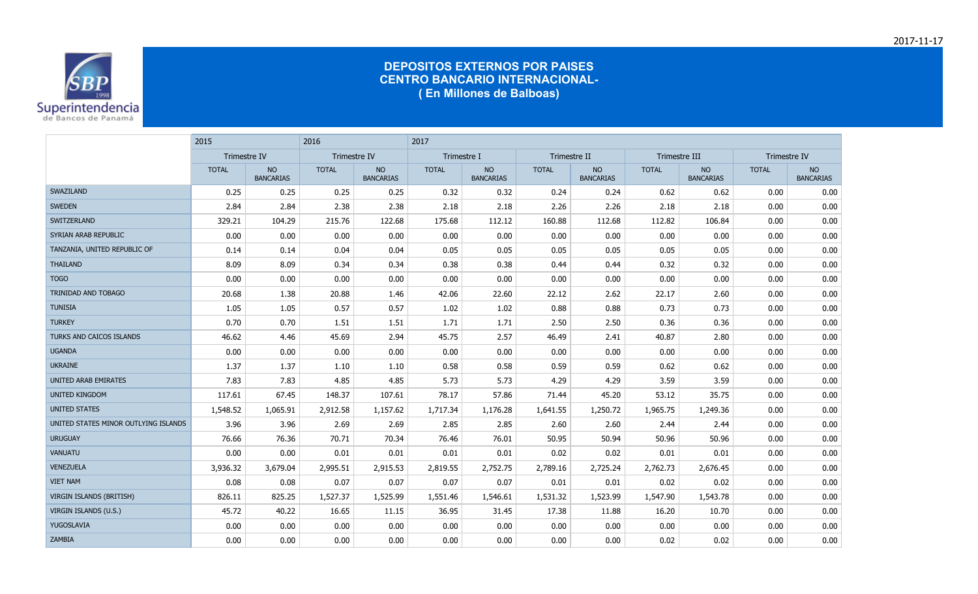

|                                      | 2015                |                               | 2016                |                               | 2017         |                               |              |                               |               |                               |              |                               |
|--------------------------------------|---------------------|-------------------------------|---------------------|-------------------------------|--------------|-------------------------------|--------------|-------------------------------|---------------|-------------------------------|--------------|-------------------------------|
|                                      | <b>Trimestre IV</b> |                               | <b>Trimestre IV</b> |                               | Trimestre I  |                               | Trimestre II |                               | Trimestre III |                               | Trimestre IV |                               |
|                                      | <b>TOTAL</b>        | <b>NO</b><br><b>BANCARIAS</b> | <b>TOTAL</b>        | <b>NO</b><br><b>BANCARIAS</b> | <b>TOTAL</b> | <b>NO</b><br><b>BANCARIAS</b> | <b>TOTAL</b> | <b>NO</b><br><b>BANCARIAS</b> | <b>TOTAL</b>  | <b>NO</b><br><b>BANCARIAS</b> | <b>TOTAL</b> | <b>NO</b><br><b>BANCARIAS</b> |
| SWAZILAND                            | 0.25                | 0.25                          | 0.25                | 0.25                          | 0.32         | 0.32                          | 0.24         | 0.24                          | 0.62          | 0.62                          | 0.00         | 0.00                          |
| <b>SWEDEN</b>                        | 2.84                | 2.84                          | 2.38                | 2.38                          | 2.18         | 2.18                          | 2.26         | 2.26                          | 2.18          | 2.18                          | 0.00         | 0.00                          |
| SWITZERLAND                          | 329.21              | 104.29                        | 215.76              | 122.68                        | 175.68       | 112.12                        | 160.88       | 112.68                        | 112.82        | 106.84                        | 0.00         | 0.00                          |
| SYRIAN ARAB REPUBLIC                 | 0.00                | 0.00                          | 0.00                | 0.00                          | 0.00         | 0.00                          | 0.00         | 0.00                          | 0.00          | 0.00                          | 0.00         | 0.00                          |
| TANZANIA, UNITED REPUBLIC OF         | 0.14                | 0.14                          | 0.04                | 0.04                          | 0.05         | 0.05                          | 0.05         | 0.05                          | 0.05          | 0.05                          | 0.00         | 0.00                          |
| <b>THAILAND</b>                      | 8.09                | 8.09                          | 0.34                | 0.34                          | 0.38         | 0.38                          | 0.44         | 0.44                          | 0.32          | 0.32                          | 0.00         | 0.00                          |
| <b>TOGO</b>                          | 0.00                | 0.00                          | 0.00                | 0.00                          | 0.00         | 0.00                          | 0.00         | 0.00                          | 0.00          | 0.00                          | 0.00         | 0.00                          |
| TRINIDAD AND TOBAGO                  | 20.68               | 1.38                          | 20.88               | 1.46                          | 42.06        | 22.60                         | 22.12        | 2.62                          | 22.17         | 2.60                          | 0.00         | 0.00                          |
| <b>TUNISIA</b>                       | 1.05                | 1.05                          | 0.57                | 0.57                          | 1.02         | 1.02                          | 0.88         | 0.88                          | 0.73          | 0.73                          | 0.00         | 0.00                          |
| <b>TURKEY</b>                        | 0.70                | 0.70                          | 1.51                | 1.51                          | 1.71         | 1.71                          | 2.50         | 2.50                          | 0.36          | 0.36                          | 0.00         | 0.00                          |
| <b>TURKS AND CAICOS ISLANDS</b>      | 46.62               | 4.46                          | 45.69               | 2.94                          | 45.75        | 2.57                          | 46.49        | 2.41                          | 40.87         | 2.80                          | 0.00         | 0.00                          |
| <b>UGANDA</b>                        | 0.00                | 0.00                          | 0.00                | 0.00                          | 0.00         | 0.00                          | 0.00         | 0.00                          | 0.00          | 0.00                          | 0.00         | 0.00                          |
| <b>UKRAINE</b>                       | 1.37                | 1.37                          | 1.10                | 1.10                          | 0.58         | 0.58                          | 0.59         | 0.59                          | 0.62          | 0.62                          | 0.00         | 0.00                          |
| <b>UNITED ARAB EMIRATES</b>          | 7.83                | 7.83                          | 4.85                | 4.85                          | 5.73         | 5.73                          | 4.29         | 4.29                          | 3.59          | 3.59                          | 0.00         | 0.00                          |
| UNITED KINGDOM                       | 117.61              | 67.45                         | 148.37              | 107.61                        | 78.17        | 57.86                         | 71.44        | 45.20                         | 53.12         | 35.75                         | 0.00         | 0.00                          |
| <b>UNITED STATES</b>                 | 1,548.52            | 1,065.91                      | 2,912.58            | 1,157.62                      | 1,717.34     | 1,176.28                      | 1,641.55     | 1,250.72                      | 1,965.75      | 1,249.36                      | 0.00         | 0.00                          |
| UNITED STATES MINOR OUTLYING ISLANDS | 3.96                | 3.96                          | 2.69                | 2.69                          | 2.85         | 2.85                          | 2.60         | 2.60                          | 2.44          | 2.44                          | 0.00         | 0.00                          |
| <b>URUGUAY</b>                       | 76.66               | 76.36                         | 70.71               | 70.34                         | 76.46        | 76.01                         | 50.95        | 50.94                         | 50.96         | 50.96                         | 0.00         | 0.00                          |
| <b>VANUATU</b>                       | 0.00                | 0.00                          | 0.01                | 0.01                          | 0.01         | 0.01                          | 0.02         | 0.02                          | 0.01          | 0.01                          | 0.00         | 0.00                          |
| <b>VENEZUELA</b>                     | 3,936.32            | 3,679.04                      | 2,995.51            | 2,915.53                      | 2,819.55     | 2,752.75                      | 2,789.16     | 2,725.24                      | 2,762.73      | 2,676.45                      | 0.00         | 0.00                          |
| <b>VIET NAM</b>                      | 0.08                | 0.08                          | 0.07                | 0.07                          | 0.07         | 0.07                          | 0.01         | 0.01                          | 0.02          | 0.02                          | 0.00         | 0.00                          |
| <b>VIRGIN ISLANDS (BRITISH)</b>      | 826.11              | 825.25                        | 1,527.37            | 1,525.99                      | 1,551.46     | 1,546.61                      | 1,531.32     | 1,523.99                      | 1,547.90      | 1,543.78                      | 0.00         | 0.00                          |
| VIRGIN ISLANDS (U.S.)                | 45.72               | 40.22                         | 16.65               | 11.15                         | 36.95        | 31.45                         | 17.38        | 11.88                         | 16.20         | 10.70                         | 0.00         | 0.00                          |
| YUGOSLAVIA                           | 0.00                | 0.00                          | 0.00                | 0.00                          | 0.00         | 0.00                          | 0.00         | 0.00                          | 0.00          | 0.00                          | 0.00         | 0.00                          |
| <b>ZAMBIA</b>                        | 0.00                | 0.00                          | 0.00                | 0.00                          | 0.00         | 0.00                          | 0.00         | 0.00                          | 0.02          | 0.02                          | 0.00         | 0.00                          |